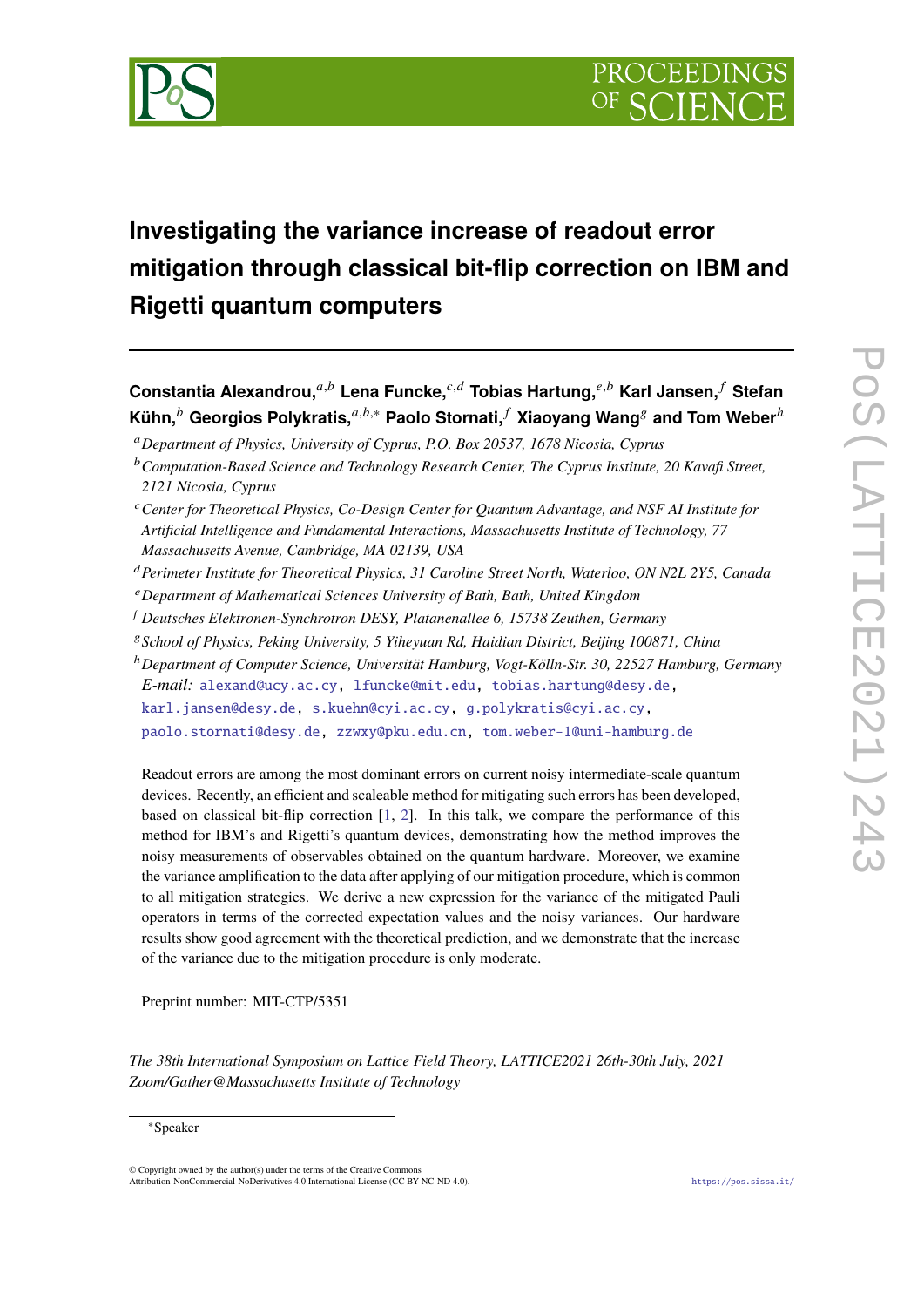

# **Investigating the variance increase of readout error mitigation through classical bit-flip correction on IBM and Rigetti quantum computers**

**Constantia Alexandrou,**𝑎,𝑏 **Lena Funcke,**𝑐,𝑑 **Tobias Hartung,**𝑒,𝑏 **Karl Jansen,** <sup>𝑓</sup> **Stefan Kühn,**<sup>b</sup> Georgios Polykratis,<sup> $a,b,*$ </sup> Paolo Stornati,  $f$  Xiaoyang Wang<sup>*s*</sup> and Tom Weber<sup>h</sup>

<sup>𝑎</sup>*Department of Physics, University of Cyprus, P.O. Box 20537, 1678 Nicosia, Cyprus*

- <sup>𝑑</sup>*Perimeter Institute for Theoretical Physics, 31 Caroline Street North, Waterloo, ON N2L 2Y5, Canada*
- <sup>𝑒</sup>*Department of Mathematical Sciences University of Bath, Bath, United Kingdom*
- <sup>𝑓</sup> *Deutsches Elektronen-Synchrotron DESY, Platanenallee 6, 15738 Zeuthen, Germany*
- <sup>𝑔</sup>*School of Physics, Peking University, 5 Yiheyuan Rd, Haidian District, Beijing 100871, China*
- <sup>ℎ</sup>*Department of Computer Science, Universität Hamburg, Vogt-Kölln-Str. 30, 22527 Hamburg, Germany*

*E-mail:* [alexand@ucy.ac.cy,](mailto:alexand@ucy.ac.cy) [lfuncke@mit.edu,](mailto:lfuncke@mit.edu) [tobias.hartung@desy.de,](mailto:tobias.hartung@desy.de)

[karl.jansen@desy.de,](mailto:karl.jansen@desy.de) [s.kuehn@cyi.ac.cy,](mailto:s.kuehn@cyi.ac.cy) [g.polykratis@cyi.ac.cy,](mailto:g.polykratis@cyi.ac.cy)

[paolo.stornati@desy.de,](mailto:paolo.stornati@desy.de) [zzwxy@pku.edu.cn,](mailto:zzwxy@pku.edu.cn) [tom.weber-1@uni-hamburg.de](mailto:tom.weber-1@uni-hamburg.de)

Readout errors are among the most dominant errors on current noisy intermediate-scale quantum devices. Recently, an efficient and scaleable method for mitigating such errors has been developed, based on classical bit-flip correction [\[1,](#page-9-0) [2\]](#page-9-1). In this talk, we compare the performance of this method for IBM's and Rigetti's quantum devices, demonstrating how the method improves the noisy measurements of observables obtained on the quantum hardware. Moreover, we examine the variance amplification to the data after applying of our mitigation procedure, which is common to all mitigation strategies. We derive a new expression for the variance of the mitigated Pauli operators in terms of the corrected expectation values and the noisy variances. Our hardware results show good agreement with the theoretical prediction, and we demonstrate that the increase of the variance due to the mitigation procedure is only moderate.

Preprint number: MIT-CTP/5351

© Copyright owned by the author(s) under the terms of the Creative Commons Attribution-NonCommercial-NoDerivatives 4.0 International License (CC BY-NC-ND 4.0). <https://pos.sissa.it/>

<sup>&</sup>lt;sup>b</sup> Computation-Based Science and Technology Research Center, The Cyprus Institute, 20 Kavafi Street, *2121 Nicosia, Cyprus*

<sup>&</sup>lt;sup>c</sup> Center for Theoretical Physics, Co-Design Center for Ouantum Advantage, and NSF AI Institute for *Artificial Intelligence and Fundamental Interactions, Massachusetts Institute of Technology, 77 Massachusetts Avenue, Cambridge, MA 02139, USA*

*The 38th International Symposium on Lattice Field Theory, LATTICE2021 26th-30th July, 2021 Zoom/Gather@Massachusetts Institute of Technology*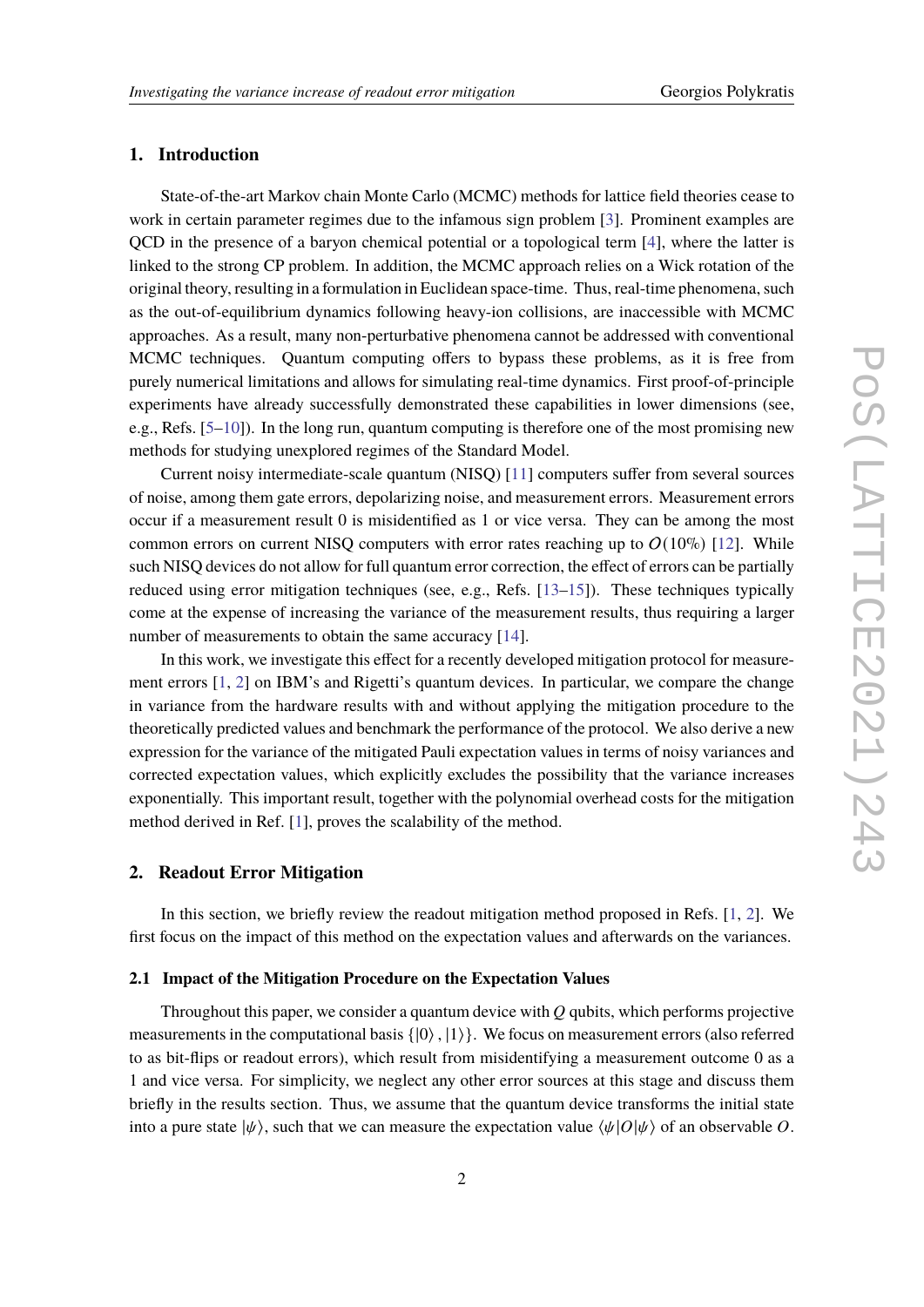# **1. Introduction**

State-of-the-art Markov chain Monte Carlo (MCMC) methods for lattice field theories cease to work in certain parameter regimes due to the infamous sign problem [\[3\]](#page-9-2). Prominent examples are QCD in the presence of a baryon chemical potential or a topological term [\[4\]](#page-9-3), where the latter is linked to the strong CP problem. In addition, the MCMC approach relies on a Wick rotation of the original theory, resulting in a formulation in Euclidean space-time. Thus, real-time phenomena, such as the out-of-equilibrium dynamics following heavy-ion collisions, are inaccessible with MCMC approaches. As a result, many non-perturbative phenomena cannot be addressed with conventional MCMC techniques. Quantum computing offers to bypass these problems, as it is free from purely numerical limitations and allows for simulating real-time dynamics. First proof-of-principle experiments have already successfully demonstrated these capabilities in lower dimensions (see, e.g., Refs. [\[5–](#page-9-4)[10\]](#page-10-0)). In the long run, quantum computing is therefore one of the most promising new methods for studying unexplored regimes of the Standard Model.

Current noisy intermediate-scale quantum (NISQ) [\[11\]](#page-10-1) computers suffer from several sources of noise, among them gate errors, depolarizing noise, and measurement errors. Measurement errors occur if a measurement result 0 is misidentified as 1 or vice versa. They can be among the most common errors on current NISO computers with error rates reaching up to  $O(10\%)$  [\[12\]](#page-10-2). While such NISQ devices do not allow for full quantum error correction, the effect of errors can be partially reduced using error mitigation techniques (see, e.g., Refs. [\[13](#page-10-3)[–15\]](#page-10-4)). These techniques typically come at the expense of increasing the variance of the measurement results, thus requiring a larger number of measurements to obtain the same accuracy [\[14\]](#page-10-5).

In this work, we investigate this effect for a recently developed mitigation protocol for measurement errors [\[1,](#page-9-0) [2\]](#page-9-1) on IBM's and Rigetti's quantum devices. In particular, we compare the change in variance from the hardware results with and without applying the mitigation procedure to the theoretically predicted values and benchmark the performance of the protocol. We also derive a new expression for the variance of the mitigated Pauli expectation values in terms of noisy variances and corrected expectation values, which explicitly excludes the possibility that the variance increases exponentially. This important result, together with the polynomial overhead costs for the mitigation method derived in Ref. [\[1\]](#page-9-0), proves the scalability of the method.

# <span id="page-1-0"></span>**2. Readout Error Mitigation**

In this section, we briefly review the readout mitigation method proposed in Refs. [\[1,](#page-9-0) [2\]](#page-9-1). We first focus on the impact of this method on the expectation values and afterwards on the variances.

#### **2.1 Impact of the Mitigation Procedure on the Expectation Values**

Throughout this paper, we consider a quantum device with  $Q$  qubits, which performs projective measurements in the computational basis  $\{|0\rangle, |1\rangle\}$ . We focus on measurement errors (also referred to as bit-flips or readout errors), which result from misidentifying a measurement outcome 0 as a 1 and vice versa. For simplicity, we neglect any other error sources at this stage and discuss them briefly in the results section. Thus, we assume that the quantum device transforms the initial state into a pure state  $|\psi\rangle$ , such that we can measure the expectation value  $\langle \psi | O | \psi \rangle$  of an observable O.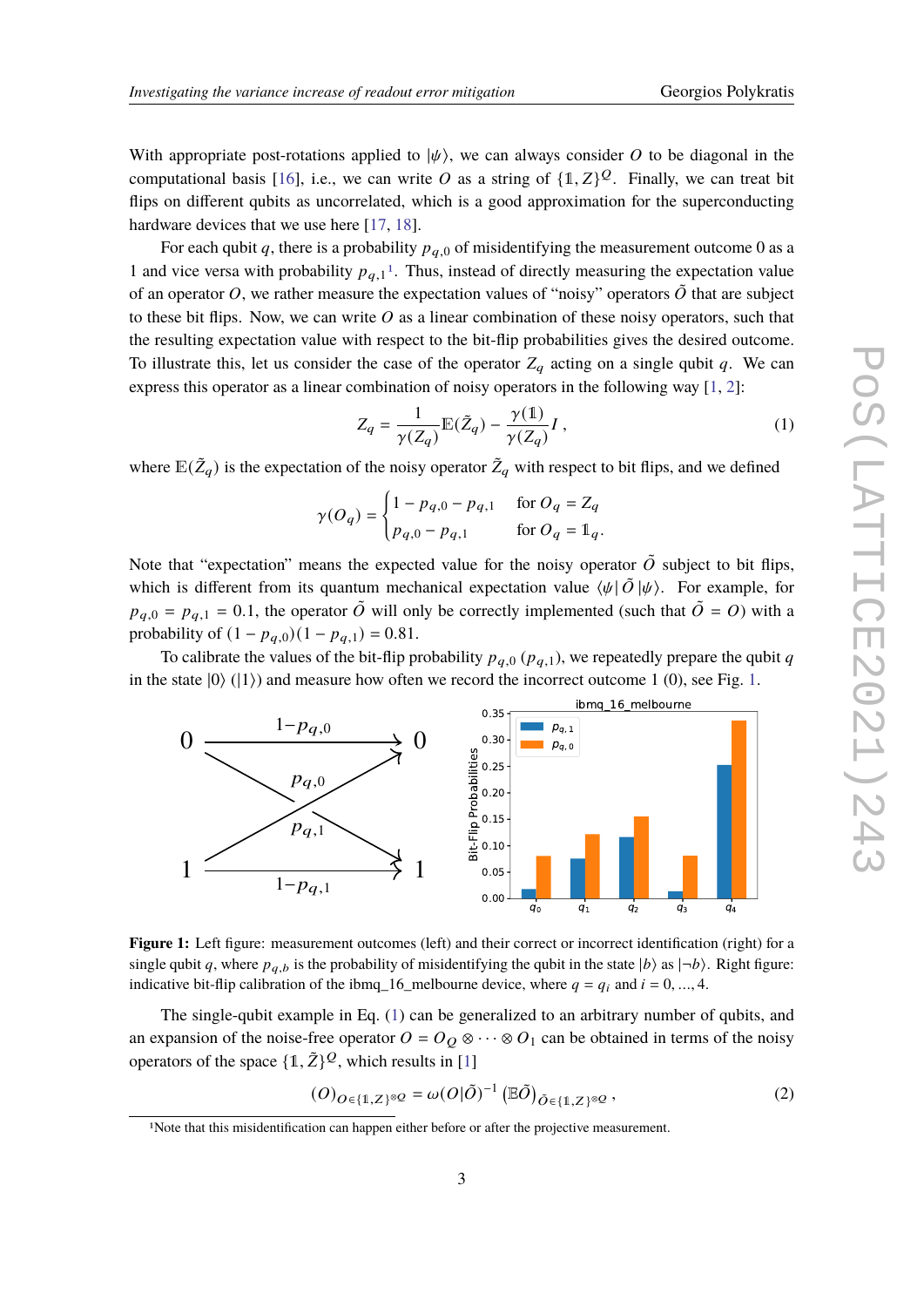With appropriate post-rotations applied to  $|\psi\rangle$ , we can always consider O to be diagonal in the computational basis [\[16\]](#page-10-6), i.e., we can write O as a string of  $\{1, Z\}^{\mathcal{Q}}$ . Finally, we can treat bit flips on different qubits as uncorrelated, which is a good approximation for the superconducting hardware devices that we use here [\[17,](#page-10-7) [18\]](#page-10-8).

For each qubit q, there is a probability  $p_{q,0}$  of misidentifying the measurement outcome 0 as a [1](#page-2-0) and vice versa with probability  $p_{q,1}$ <sup>1</sup>. Thus, instead of directly measuring the expectation value of an operator O, we rather measure the expectation values of "noisy" operators  $\tilde{O}$  that are subject to these bit flips. Now, we can write  $\hat{O}$  as a linear combination of these noisy operators, such that the resulting expectation value with respect to the bit-flip probabilities gives the desired outcome. To illustrate this, let us consider the case of the operator  $Z_q$  acting on a single qubit q. We can express this operator as a linear combination of noisy operators in the following way [\[1,](#page-9-0) [2\]](#page-9-1):

<span id="page-2-2"></span>
$$
Z_q = \frac{1}{\gamma(Z_q)} \mathbb{E}(\tilde{Z}_q) - \frac{\gamma(1)}{\gamma(Z_q)} I , \qquad (1)
$$

where  $\mathbb{E}(\tilde{Z}_q)$  is the expectation of the noisy operator  $\tilde{Z}_q$  with respect to bit flips, and we defined

$$
\gamma(O_q) = \begin{cases} 1 - p_{q,0} - p_{q,1} & \text{for } O_q = Z_q \\ p_{q,0} - p_{q,1} & \text{for } O_q = \mathbb{1}_q. \end{cases}
$$

Note that "expectation" means the expected value for the noisy operator  $\tilde{O}$  subject to bit flips, which is different from its quantum mechanical expectation value  $\langle \psi | \tilde{O} | \psi \rangle$ . For example, for  $p_{q,0} = p_{q,1} = 0.1$ , the operator  $\tilde{O}$  will only be correctly implemented (such that  $\tilde{O} = O$ ) with a probability of  $(1 - p_{q,0})(1 - p_{q,1}) = 0.81$ .

To calibrate the values of the bit-flip probability  $p_{q,0}$  ( $p_{q,1}$ ), we repeatedly prepare the qubit q in the state  $|0\rangle$  ( $|1\rangle$ ) and measure how often we record the incorrect outcome 1 (0), see Fig. [1.](#page-2-1)

<span id="page-2-1"></span>

**Figure 1:** Left figure: measurement outcomes (left) and their correct or incorrect identification (right) for a single qubit q, where  $p_{q,b}$  is the probability of misidentifying the qubit in the state  $|b\rangle$  as  $|\neg b\rangle$ . Right figure: indicative bit-flip calibration of the ibmq 16 melbourne device, where  $q = q_i$  and  $i = 0, ..., 4$ .

The single-qubit example in Eq. [\(1\)](#page-2-2) can be generalized to an arbitrary number of qubits, and an expansion of the noise-free operator  $O = O_Q \otimes \cdots \otimes O_1$  can be obtained in terms of the noisy operators of the space  $\{1, \tilde{Z}\}^{\mathcal{Q}}$ , which results in [\[1\]](#page-9-0)

<span id="page-2-3"></span>
$$
(O)_{O \in \{1, Z\}^{\otimes Q}} = \omega(O|\tilde{O})^{-1} (\mathbb{E}\tilde{O})_{\tilde{O} \in \{1, Z\}^{\otimes Q}},
$$
\n<sup>(2)</sup>

<span id="page-2-0"></span><sup>&</sup>lt;sup>1</sup>Note that this misidentification can happen either before or after the projective measurement.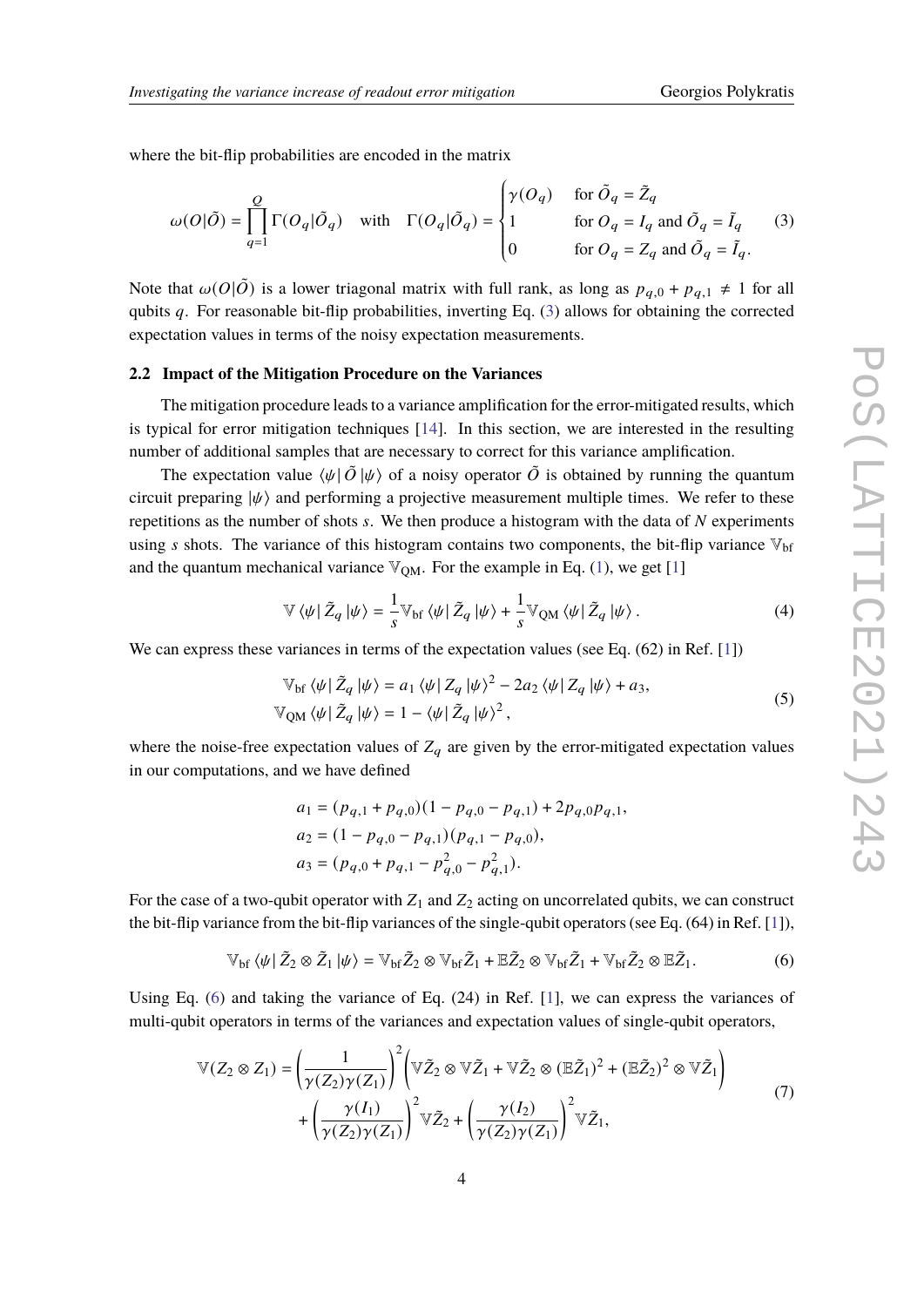where the bit-flip probabilities are encoded in the matrix

<span id="page-3-0"></span>
$$
\omega(O|\tilde{O}) = \prod_{q=1}^{Q} \Gamma(O_q|\tilde{O}_q) \quad \text{with} \quad \Gamma(O_q|\tilde{O}_q) = \begin{cases} \gamma(O_q) & \text{for } \tilde{O}_q = \tilde{Z}_q \\ 1 & \text{for } O_q = I_q \text{ and } \tilde{O}_q = \tilde{I}_q \\ 0 & \text{for } O_q = Z_q \text{ and } \tilde{O}_q = \tilde{I}_q. \end{cases} \tag{3}
$$

J.

Note that  $\omega(O|\tilde{O})$  is a lower triagonal matrix with full rank, as long as  $p_{q,0} + p_{q,1} \neq 1$  for all qubits  $q$ . For reasonable bit-flip probabilities, inverting Eq. [\(3\)](#page-3-0) allows for obtaining the corrected expectation values in terms of the noisy expectation measurements.

#### <span id="page-3-3"></span>**2.2 Impact of the Mitigation Procedure on the Variances**

The mitigation procedure leads to a variance amplification for the error-mitigated results, which is typical for error mitigation techniques [\[14\]](#page-10-5). In this section, we are interested in the resulting number of additional samples that are necessary to correct for this variance amplification.

The expectation value  $\langle \psi | \tilde{O} | \psi \rangle$  of a noisy operator  $\tilde{O}$  is obtained by running the quantum circuit preparing  $|\psi\rangle$  and performing a projective measurement multiple times. We refer to these repetitions as the number of shots  $s$ . We then produce a histogram with the data of  $N$  experiments using s shots. The variance of this histogram contains two components, the bit-flip variance  $V_{\text{bf}}$ and the quantum mechanical variance  $\mathbb{V}_{OM}$ . For the example in Eq. [\(1\)](#page-2-2), we get [\[1\]](#page-9-0)

$$
\mathbb{V}\left\langle \psi\right|\tilde{Z}_q\left|\psi\right\rangle = \frac{1}{s}\mathbb{V}_{\text{bf}}\left\langle \psi\right|\tilde{Z}_q\left|\psi\right\rangle + \frac{1}{s}\mathbb{V}_{\text{QM}}\left\langle \psi\right|\tilde{Z}_q\left|\psi\right\rangle. \tag{4}
$$

We can express these variances in terms of the expectation values (see Eq. (62) in Ref. [\[1\]](#page-9-0))

$$
\mathbb{V}_{\text{bf}}\left\langle \psi \right|\tilde{Z}_q \left| \psi \right\rangle = a_1 \left\langle \psi \right| Z_q \left| \psi \right\rangle^2 - 2a_2 \left\langle \psi \right| Z_q \left| \psi \right\rangle + a_3,
$$
  

$$
\mathbb{V}_{\text{QM}}\left\langle \psi \right|\tilde{Z}_q \left| \psi \right\rangle = 1 - \left\langle \psi \right|\tilde{Z}_q \left| \psi \right\rangle^2,
$$
 (5)

where the noise-free expectation values of  $Z_q$  are given by the error-mitigated expectation values in our computations, and we have defined

$$
a_1 = (p_{q,1} + p_{q,0})(1 - p_{q,0} - p_{q,1}) + 2p_{q,0}p_{q,1},
$$
  
\n
$$
a_2 = (1 - p_{q,0} - p_{q,1})(p_{q,1} - p_{q,0}),
$$
  
\n
$$
a_3 = (p_{q,0} + p_{q,1} - p_{q,0}^2 - p_{q,1}^2).
$$

For the case of a two-qubit operator with  $Z_1$  and  $Z_2$  acting on uncorrelated qubits, we can construct the bit-flip variance from the bit-flip variances of the single-qubit operators (see Eq. (64) in Ref. [\[1\]](#page-9-0)),

<span id="page-3-1"></span>
$$
\mathbb{V}_{\mathrm{bf}}\left\langle \psi \right|\tilde{Z}_{2}\otimes \tilde{Z}_{1}\left| \psi \right\rangle = \mathbb{V}_{\mathrm{bf}}\tilde{Z}_{2}\otimes \mathbb{V}_{\mathrm{bf}}\tilde{Z}_{1} + \mathbb{E}\tilde{Z}_{2}\otimes \mathbb{V}_{\mathrm{bf}}\tilde{Z}_{1} + \mathbb{V}_{\mathrm{bf}}\tilde{Z}_{2}\otimes \mathbb{E}\tilde{Z}_{1}.
$$
 (6)

Using Eq. [\(6\)](#page-3-1) and taking the variance of Eq.  $(24)$  in Ref. [\[1\]](#page-9-0), we can express the variances of multi-qubit operators in terms of the variances and expectation values of single-qubit operators,

<span id="page-3-2"></span>
$$
\mathbb{V}(Z_2 \otimes Z_1) = \left(\frac{1}{\gamma(Z_2)\gamma(Z_1)}\right)^2 \left(\mathbb{V}\tilde{Z}_2 \otimes \mathbb{V}\tilde{Z}_1 + \mathbb{V}\tilde{Z}_2 \otimes (\mathbb{E}\tilde{Z}_1)^2 + (\mathbb{E}\tilde{Z}_2)^2 \otimes \mathbb{V}\tilde{Z}_1\right) + \left(\frac{\gamma(I_1)}{\gamma(Z_2)\gamma(Z_1)}\right)^2 \mathbb{V}\tilde{Z}_2 + \left(\frac{\gamma(I_2)}{\gamma(Z_2)\gamma(Z_1)}\right)^2 \mathbb{V}\tilde{Z}_1,
$$
\n(7)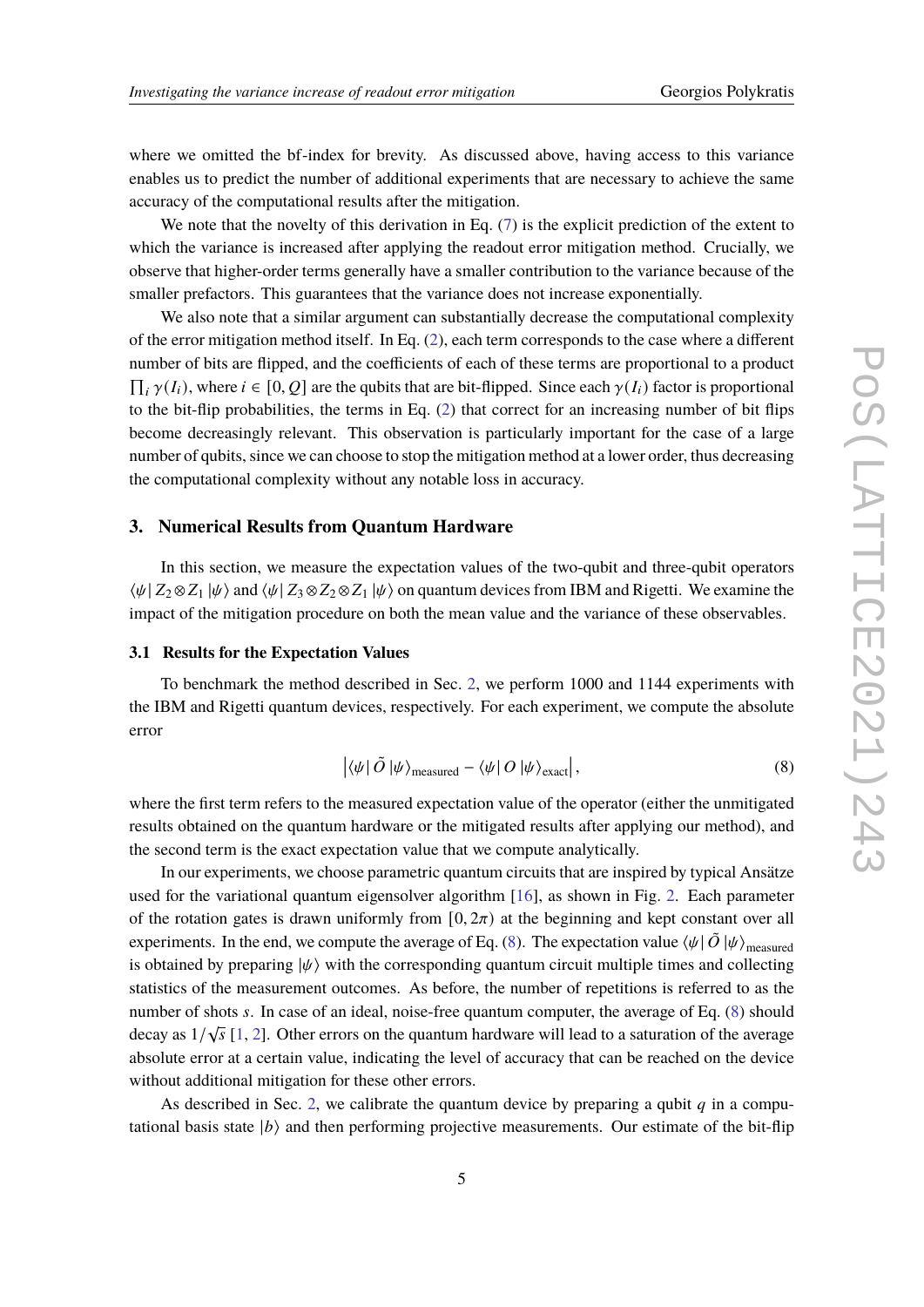where we omitted the bf-index for brevity. As discussed above, having access to this variance enables us to predict the number of additional experiments that are necessary to achieve the same accuracy of the computational results after the mitigation.

We note that the novelty of this derivation in Eq. [\(7\)](#page-3-2) is the explicit prediction of the extent to which the variance is increased after applying the readout error mitigation method. Crucially, we observe that higher-order terms generally have a smaller contribution to the variance because of the smaller prefactors. This guarantees that the variance does not increase exponentially.

We also note that a similar argument can substantially decrease the computational complexity of the error mitigation method itself. In Eq. [\(2\)](#page-2-3), each term corresponds to the case where a different number of bits are flipped, and the coefficients of each of these terms are proportional to a product  $\prod_i \gamma(I_i)$ , where  $i \in [0, Q]$  are the qubits that are bit-flipped. Since each  $\gamma(I_i)$  factor is proportional to the bit-flip probabilities, the terms in Eq. [\(2\)](#page-2-3) that correct for an increasing number of bit flips become decreasingly relevant. This observation is particularly important for the case of a large number of qubits, since we can choose to stop the mitigation method at a lower order, thus decreasing the computational complexity without any notable loss in accuracy.

#### **3. Numerical Results from Quantum Hardware**

In this section, we measure the expectation values of the two-qubit and three-qubit operators  $\langle \psi | Z_2 \otimes Z_1 | \psi \rangle$  and  $\langle \psi | Z_3 \otimes Z_2 \otimes Z_1 | \psi \rangle$  on quantum devices from IBM and Rigetti. We examine the impact of the mitigation procedure on both the mean value and the variance of these observables.

## <span id="page-4-1"></span>**3.1 Results for the Expectation Values**

To benchmark the method described in Sec. [2,](#page-1-0) we perform 1000 and 1144 experiments with the IBM and Rigetti quantum devices, respectively. For each experiment, we compute the absolute error

<span id="page-4-0"></span>
$$
\left| \langle \psi | \tilde{O} | \psi \rangle_{\text{measured}} - \langle \psi | O | \psi \rangle_{\text{exact}} \right|,\tag{8}
$$

where the first term refers to the measured expectation value of the operator (either the unmitigated results obtained on the quantum hardware or the mitigated results after applying our method), and the second term is the exact expectation value that we compute analytically.

In our experiments, we choose parametric quantum circuits that are inspired by typical Ansätze used for the variational quantum eigensolver algorithm [\[16\]](#page-10-6), as shown in Fig. [2.](#page-5-0) Each parameter of the rotation gates is drawn uniformly from  $[0, 2\pi)$  at the beginning and kept constant over all experiments. In the end, we compute the average of Eq. [\(8\)](#page-4-0). The expectation value  $\langle \psi | \tilde{O} | \psi \rangle_{\text{measured}}$ is obtained by preparing  $|\psi\rangle$  with the corresponding quantum circuit multiple times and collecting statistics of the measurement outcomes. As before, the number of repetitions is referred to as the number of shots  $s$ . In case of an ideal, noise-free quantum computer, the average of Eq.  $(8)$  should decay as  $1/\sqrt{s}$  [\[1,](#page-9-0) [2\]](#page-9-1). Other errors on the quantum hardware will lead to a saturation of the average absolute error at a certain value, indicating the level of accuracy that can be reached on the device without additional mitigation for these other errors.

As described in Sec. [2,](#page-1-0) we calibrate the quantum device by preparing a qubit  $q$  in a computational basis state  $|b\rangle$  and then performing projective measurements. Our estimate of the bit-flip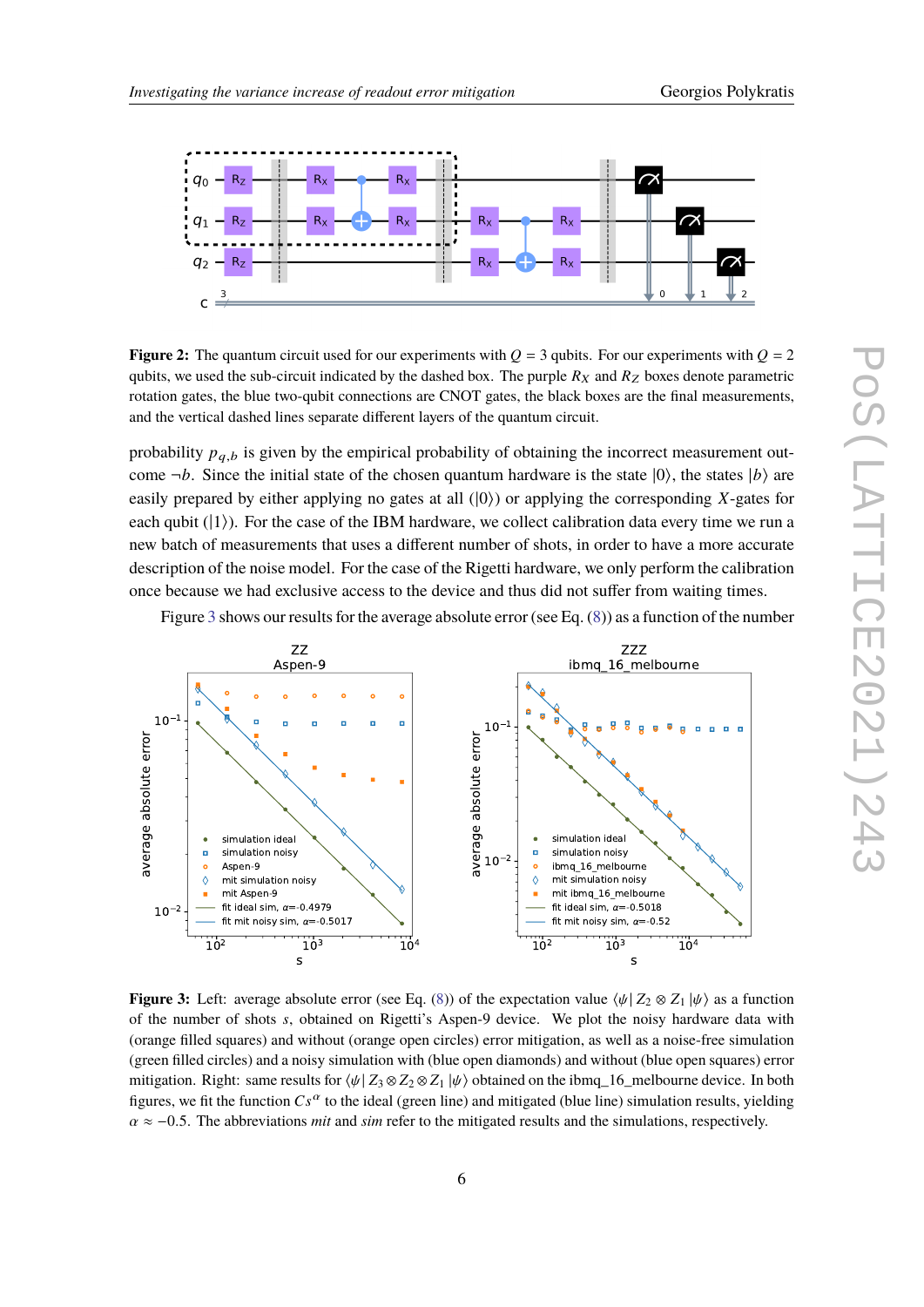<span id="page-5-0"></span>

**Figure 2:** The quantum circuit used for our experiments with  $Q = 3$  qubits. For our experiments with  $Q = 2$ qubits, we used the sub-circuit indicated by the dashed box. The purple  $R_X$  and  $R_Z$  boxes denote parametric rotation gates, the blue two-qubit connections are CNOT gates, the black boxes are the final measurements, and the vertical dashed lines separate different layers of the quantum circuit.

probability  $p_{a,b}$  is given by the empirical probability of obtaining the incorrect measurement outcome  $\neg b$ . Since the initial state of the chosen quantum hardware is the state  $|0\rangle$ , the states  $|b\rangle$  are easily prepared by either applying no gates at all  $(|0\rangle)$  or applying the corresponding X-gates for each qubit  $(|1\rangle)$ . For the case of the IBM hardware, we collect calibration data every time we run a new batch of measurements that uses a different number of shots, in order to have a more accurate description of the noise model. For the case of the Rigetti hardware, we only perform the calibration once because we had exclusive access to the device and thus did not suffer from waiting times.

Figure [3](#page-5-1) shows our results for the average absolute error (see Eq. [\(8\)](#page-4-0)) as a function of the number

<span id="page-5-1"></span>

**Figure 3:** Left: average absolute error (see Eq. [\(8\)](#page-4-0)) of the expectation value  $\langle \psi | Z_2 \otimes Z_1 | \psi \rangle$  as a function of the number of shots s, obtained on Rigetti's Aspen-9 device. We plot the noisy hardware data with (orange filled squares) and without (orange open circles) error mitigation, as well as a noise-free simulation (green filled circles) and a noisy simulation with (blue open diamonds) and without (blue open squares) error mitigation. Right: same results for  $\psi$   $Z_3 \otimes Z_2 \otimes Z_1 \psi$  obtained on the ibmq\_16\_melbourne device. In both figures, we fit the function  $Cs^{\alpha}$  to the ideal (green line) and mitigated (blue line) simulation results, yielding  $\alpha \approx -0.5$ . The abbreviations *mit* and *sim* refer to the mitigated results and the simulations, respectively.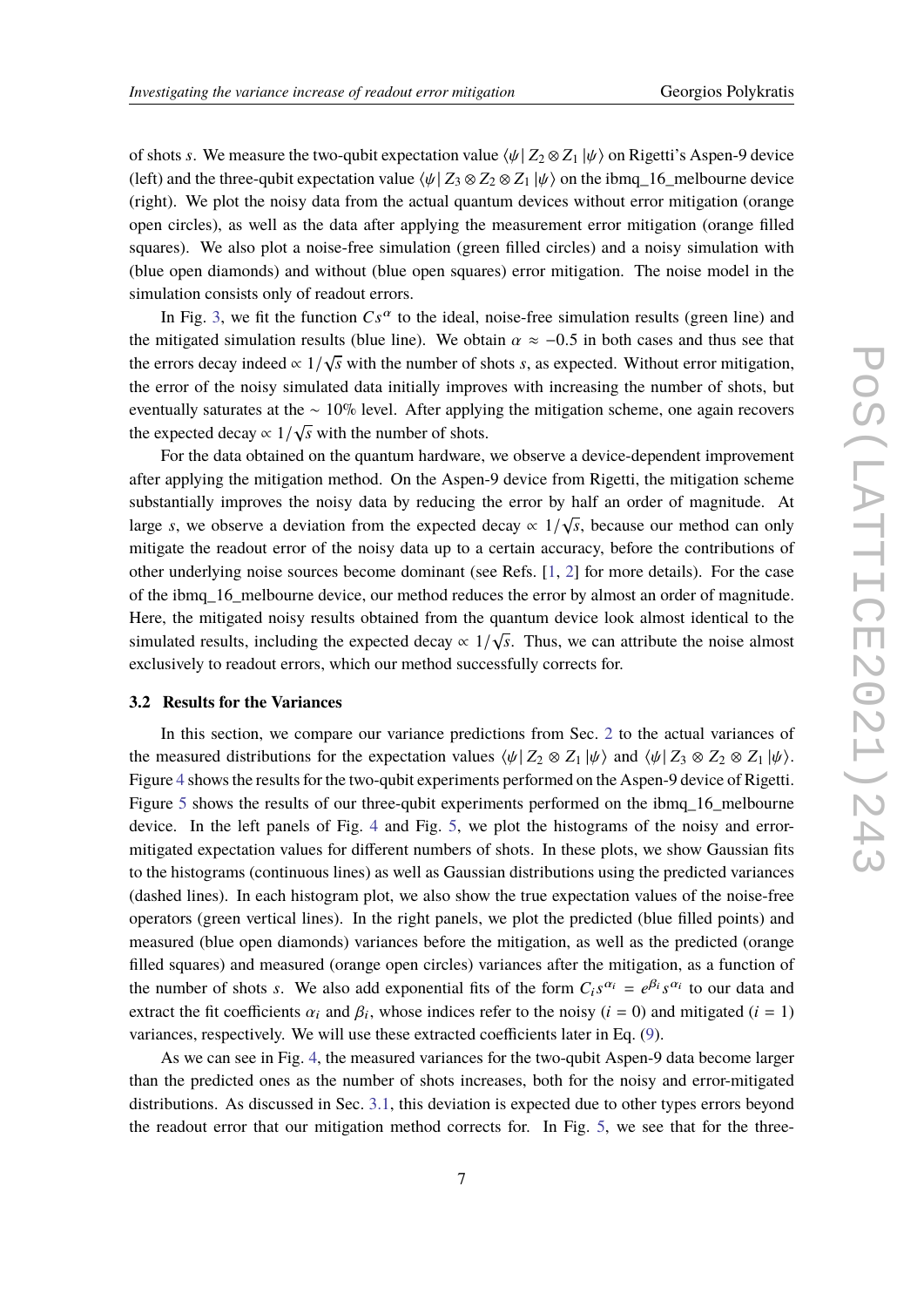of shots s. We measure the two-qubit expectation value  $\langle \psi | Z_2 \otimes Z_1 | \psi \rangle$  on Rigetti's Aspen-9 device (left) and the three-qubit expectation value  $\langle \psi | Z_3 \otimes Z_2 \otimes Z_1 | \psi \rangle$  on the ibmq\_16\_melbourne device (right). We plot the noisy data from the actual quantum devices without error mitigation (orange open circles), as well as the data after applying the measurement error mitigation (orange filled squares). We also plot a noise-free simulation (green filled circles) and a noisy simulation with (blue open diamonds) and without (blue open squares) error mitigation. The noise model in the simulation consists only of readout errors.

In Fig. [3,](#page-5-1) we fit the function  $Cs^{\alpha}$  to the ideal, noise-free simulation results (green line) and the mitigated simulation results (blue line). We obtain  $\alpha \approx -0.5$  in both cases and thus see that the errors decay indeed  $\propto 1/\sqrt{s}$  with the number of shots *s*, as expected. Without error mitigation, the error of the noisy simulated data initially improves with increasing the number of shots, but eventually saturates at the ∼ 10% level. After applying the mitigation scheme, one again recovers the expected decay  $\propto 1/\sqrt{s}$  with the number of shots.

For the data obtained on the quantum hardware, we observe a device-dependent improvement after applying the mitigation method. On the Aspen-9 device from Rigetti, the mitigation scheme substantially improves the noisy data by reducing the error by half an order of magnitude. At large *s*, we observe a deviation from the expected decay  $\propto 1/\sqrt{s}$ , because our method can only mitigate the readout error of the noisy data up to a certain accuracy, before the contributions of other underlying noise sources become dominant (see Refs. [\[1,](#page-9-0) [2\]](#page-9-1) for more details). For the case of the ibmq\_16\_melbourne device, our method reduces the error by almost an order of magnitude. Here, the mitigated noisy results obtained from the quantum device look almost identical to the simulated results, including the expected decay  $\propto 1/\sqrt{s}$ . Thus, we can attribute the noise almost simulated results, including the expected decay  $\propto 1/\sqrt{s}$ . Thus, we can attribute the noise almost exclusively to readout errors, which our method successfully corrects for.

## **3.2 Results for the Variances**

In this section, we compare our variance predictions from Sec. [2](#page-1-0) to the actual variances of the measured distributions for the expectation values  $\langle \psi | Z_2 \otimes Z_1 | \psi \rangle$  and  $\langle \psi | Z_3 \otimes Z_2 \otimes Z_1 | \psi \rangle$ . Figure [4](#page-7-0) shows the results for the two-qubit experiments performed on the Aspen-9 device of Rigetti. Figure [5](#page-7-1) shows the results of our three-qubit experiments performed on the ibmq\_16\_melbourne device. In the left panels of Fig. [4](#page-7-0) and Fig. [5,](#page-7-1) we plot the histograms of the noisy and errormitigated expectation values for different numbers of shots. In these plots, we show Gaussian fits to the histograms (continuous lines) as well as Gaussian distributions using the predicted variances (dashed lines). In each histogram plot, we also show the true expectation values of the noise-free operators (green vertical lines). In the right panels, we plot the predicted (blue filled points) and measured (blue open diamonds) variances before the mitigation, as well as the predicted (orange filled squares) and measured (orange open circles) variances after the mitigation, as a function of the number of shots s. We also add exponential fits of the form  $C_i s^{\alpha_i} = e^{\beta_i} s^{\alpha_i}$  to our data and extract the fit coefficients  $\alpha_i$  and  $\beta_i$ , whose indices refer to the noisy ( $i = 0$ ) and mitigated ( $i = 1$ ) variances, respectively. We will use these extracted coefficients later in Eq. [\(9\)](#page-8-0).

As we can see in Fig. [4,](#page-7-0) the measured variances for the two-qubit Aspen-9 data become larger than the predicted ones as the number of shots increases, both for the noisy and error-mitigated distributions. As discussed in Sec. [3.1,](#page-4-1) this deviation is expected due to other types errors beyond the readout error that our mitigation method corrects for. In Fig. [5,](#page-7-1) we see that for the three-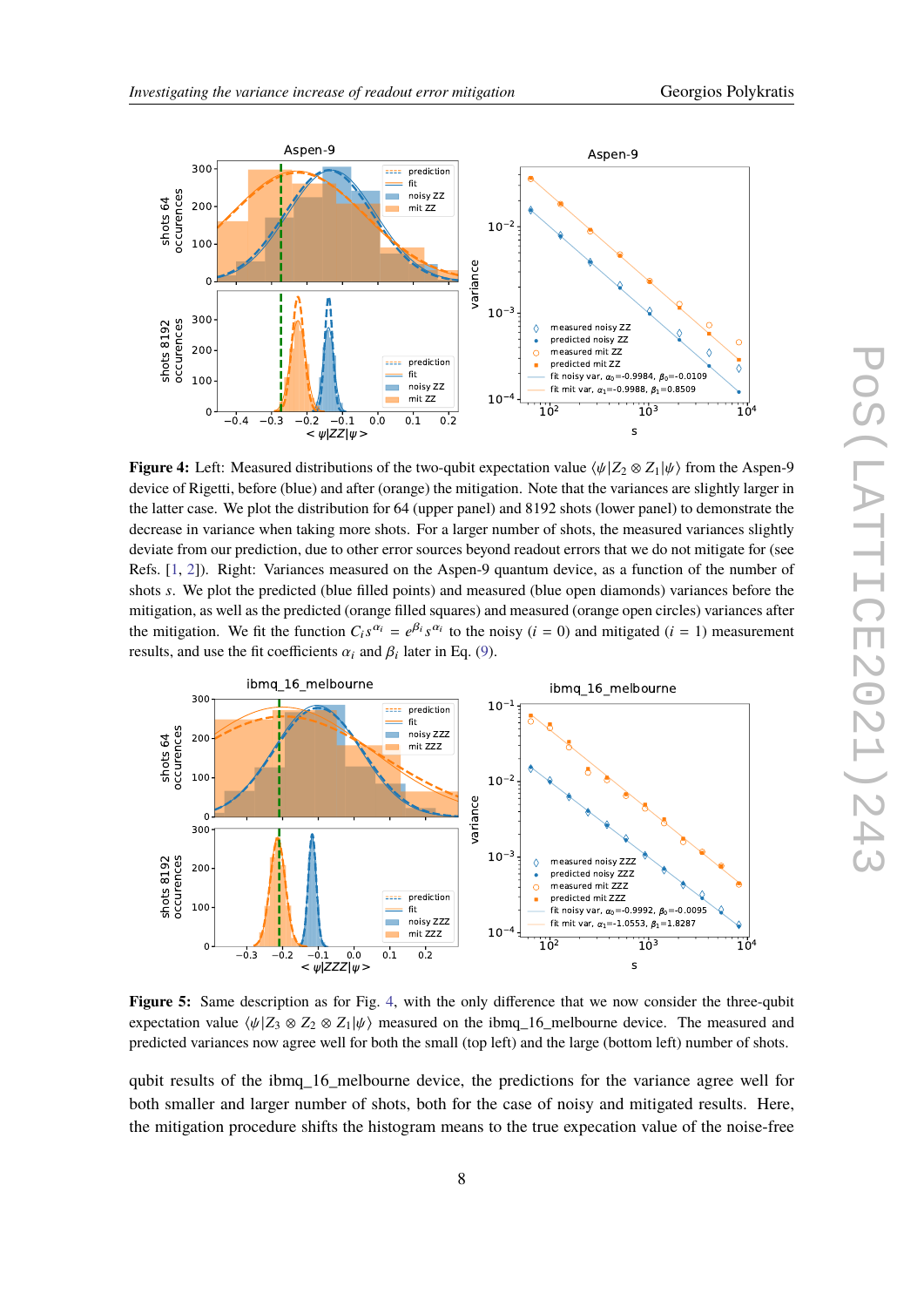<span id="page-7-0"></span>

**Figure 4:** Left: Measured distributions of the two-qubit expectation value  $\langle \psi | Z_2 \otimes Z_1 | \psi \rangle$  from the Aspen-9 device of Rigetti, before (blue) and after (orange) the mitigation. Note that the variances are slightly larger in the latter case. We plot the distribution for 64 (upper panel) and 8192 shots (lower panel) to demonstrate the decrease in variance when taking more shots. For a larger number of shots, the measured variances slightly deviate from our prediction, due to other error sources beyond readout errors that we do not mitigate for (see Refs. [\[1,](#page-9-0) [2\]](#page-9-1)). Right: Variances measured on the Aspen-9 quantum device, as a function of the number of shots *s*. We plot the predicted (blue filled points) and measured (blue open diamonds) variances before the mitigation, as well as the predicted (orange filled squares) and measured (orange open circles) variances after the mitigation. We fit the function  $C_i s^{\alpha_i} = e^{\beta_i} s^{\alpha_i}$  to the noisy  $(i = 0)$  and mitigated  $(i = 1)$  measurement results, and use the fit coefficients  $\alpha_i$  and  $\beta_i$  later in Eq. [\(9\)](#page-8-0).

<span id="page-7-1"></span>

**Figure 5:** Same description as for Fig. [4,](#page-7-0) with the only difference that we now consider the three-qubit expectation value  $\langle \psi | Z_3 \otimes Z_2 \otimes Z_1 | \psi \rangle$  measured on the ibmq\_16\_melbourne device. The measured and predicted variances now agree well for both the small (top left) and the large (bottom left) number of shots.

qubit results of the ibmq 16 melbourne device, the predictions for the variance agree well for both smaller and larger number of shots, both for the case of noisy and mitigated results. Here, the mitigation procedure shifts the histogram means to the true expecation value of the noise-free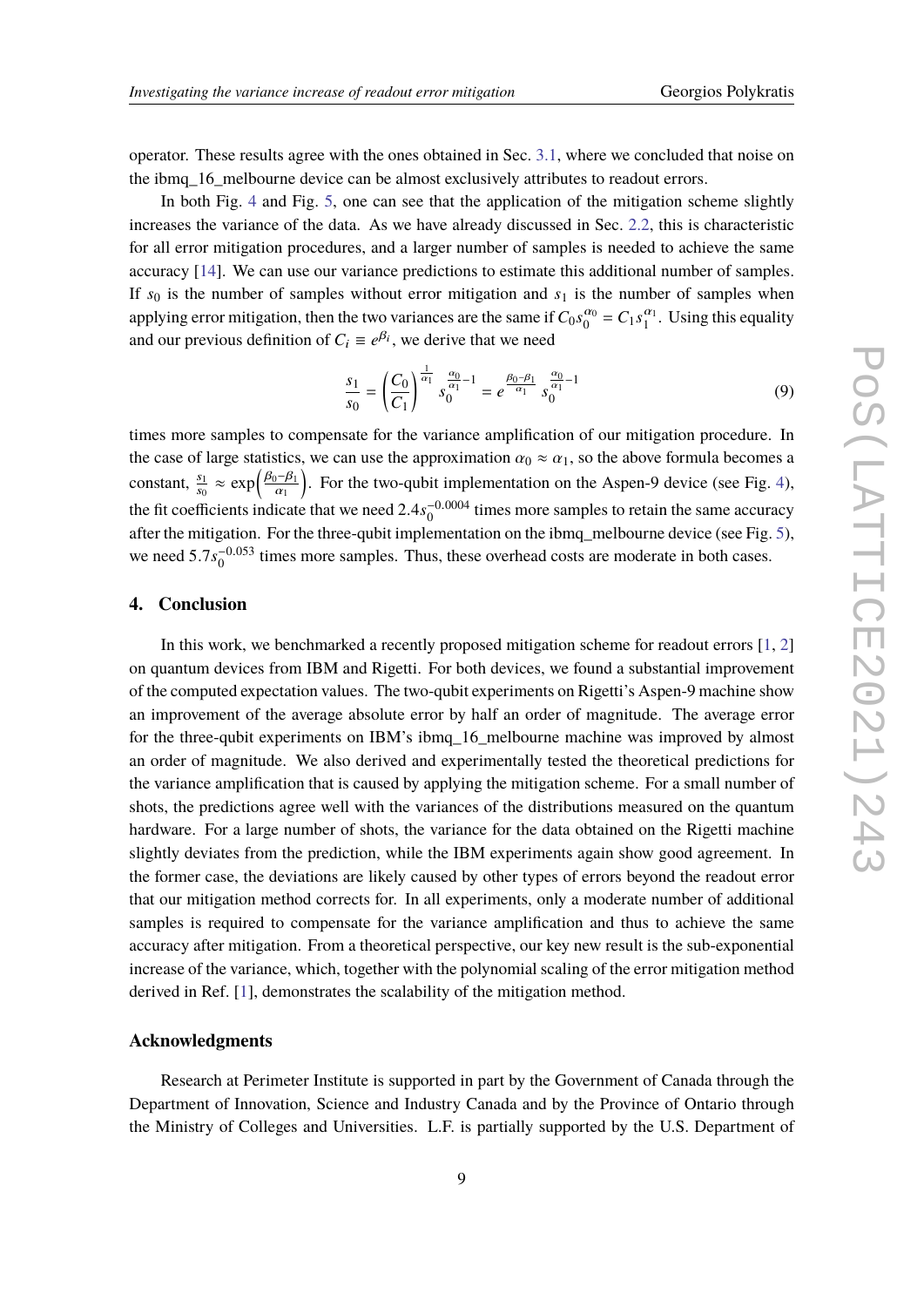operator. These results agree with the ones obtained in Sec. [3.1,](#page-4-1) where we concluded that noise on the ibmq\_16\_melbourne device can be almost exclusively attributes to readout errors.

In both Fig. [4](#page-7-0) and Fig. [5,](#page-7-1) one can see that the application of the mitigation scheme slightly increases the variance of the data. As we have already discussed in Sec. [2.2,](#page-3-3) this is characteristic for all error mitigation procedures, and a larger number of samples is needed to achieve the same accuracy [\[14\]](#page-10-5). We can use our variance predictions to estimate this additional number of samples. If  $s_0$  is the number of samples without error mitigation and  $s_1$  is the number of samples when applying error mitigation, then the two variances are the same if  $C_0 s_0^{\alpha_0}$  $\frac{\alpha_0}{0} = C_1 s_1^{\alpha_1}$  $\frac{\alpha_1}{1}$ . Using this equality and our previous definition of  $C_i \equiv e^{\beta_i}$ , we derive that we need

<span id="page-8-0"></span>
$$
\frac{s_1}{s_0} = \left(\frac{C_0}{C_1}\right)^{\frac{1}{\alpha_1}} s_0^{\frac{\alpha_0}{\alpha_1} - 1} = e^{\frac{\beta_0 - \beta_1}{\alpha_1}} s_0^{\frac{\alpha_0}{\alpha_1} - 1} \tag{9}
$$

times more samples to compensate for the variance amplification of our mitigation procedure. In the case of large statistics, we can use the approximation  $\alpha_0 \approx \alpha_1$ , so the above formula becomes a constant,  $\frac{s_1}{s_0} \approx \exp\left(\frac{\beta_0 - \beta_1}{\alpha_1}\right)$  $\overline{\alpha_1}$  . For the two-qubit implementation on the Aspen-9 device (see Fig. [4\)](#page-7-0), the fit coefficients indicate that we need  $2.4s_0^{-0.0004}$  times more samples to retain the same accuracy after the mitigation. For the three-qubit implementation on the ibmq\_melbourne device (see Fig. [5\)](#page-7-1), we need  $5.7s_0^{-0.053}$  times more samples. Thus, these overhead costs are moderate in both cases.

#### **4. Conclusion**

In this work, we benchmarked a recently proposed mitigation scheme for readout errors  $[1, 2]$  $[1, 2]$  $[1, 2]$ on quantum devices from IBM and Rigetti. For both devices, we found a substantial improvement of the computed expectation values. The two-qubit experiments on Rigetti's Aspen-9 machine show an improvement of the average absolute error by half an order of magnitude. The average error for the three-qubit experiments on IBM's ibmq\_16\_melbourne machine was improved by almost an order of magnitude. We also derived and experimentally tested the theoretical predictions for the variance amplification that is caused by applying the mitigation scheme. For a small number of shots, the predictions agree well with the variances of the distributions measured on the quantum hardware. For a large number of shots, the variance for the data obtained on the Rigetti machine slightly deviates from the prediction, while the IBM experiments again show good agreement. In the former case, the deviations are likely caused by other types of errors beyond the readout error that our mitigation method corrects for. In all experiments, only a moderate number of additional samples is required to compensate for the variance amplification and thus to achieve the same accuracy after mitigation. From a theoretical perspective, our key new result is the sub-exponential increase of the variance, which, together with the polynomial scaling of the error mitigation method derived in Ref. [\[1\]](#page-9-0), demonstrates the scalability of the mitigation method.

## **Acknowledgments**

Research at Perimeter Institute is supported in part by the Government of Canada through the Department of Innovation, Science and Industry Canada and by the Province of Ontario through the Ministry of Colleges and Universities. L.F. is partially supported by the U.S. Department of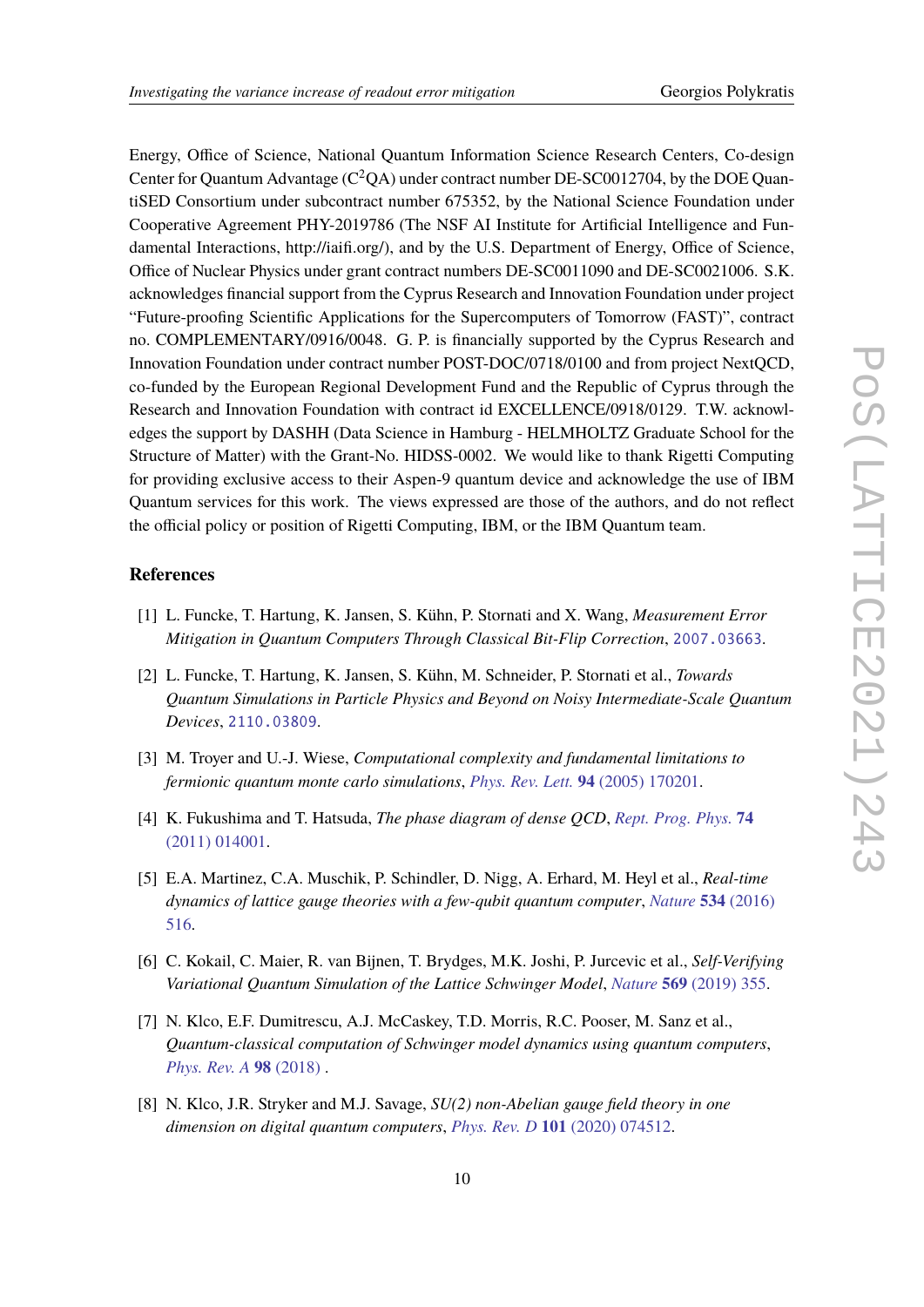Energy, Office of Science, National Quantum Information Science Research Centers, Co-design Center for Quantum Advantage ( $C^2QA$ ) under contract number DE-SC0012704, by the DOE QuantiSED Consortium under subcontract number 675352, by the National Science Foundation under Cooperative Agreement PHY-2019786 (The NSF AI Institute for Artificial Intelligence and Fundamental Interactions, http://iaifi.org/), and by the U.S. Department of Energy, Office of Science, Office of Nuclear Physics under grant contract numbers DE-SC0011090 and DE-SC0021006. S.K. acknowledges financial support from the Cyprus Research and Innovation Foundation under project "Future-proofing Scientific Applications for the Supercomputers of Tomorrow (FAST)", contract no. COMPLEMENTARY/0916/0048. G. P. is financially supported by the Cyprus Research and Innovation Foundation under contract number POST-DOC/0718/0100 and from project NextQCD, co-funded by the European Regional Development Fund and the Republic of Cyprus through the Research and Innovation Foundation with contract id EXCELLENCE/0918/0129. T.W. acknowledges the support by DASHH (Data Science in Hamburg - HELMHOLTZ Graduate School for the Structure of Matter) with the Grant-No. HIDSS-0002. We would like to thank Rigetti Computing for providing exclusive access to their Aspen-9 quantum device and acknowledge the use of IBM Quantum services for this work. The views expressed are those of the authors, and do not reflect the official policy or position of Rigetti Computing, IBM, or the IBM Quantum team.

## **References**

- <span id="page-9-0"></span>[1] L. Funcke, T. Hartung, K. Jansen, S. Kühn, P. Stornati and X. Wang, *Measurement Error Mitigation in Quantum Computers Through Classical Bit-Flip Correction*, [2007.03663](https://arxiv.org/abs/2007.03663).
- <span id="page-9-1"></span>[2] L. Funcke, T. Hartung, K. Jansen, S. Kühn, M. Schneider, P. Stornati et al., *Towards Quantum Simulations in Particle Physics and Beyond on Noisy Intermediate-Scale Quantum Devices*, [2110.03809](https://arxiv.org/abs/2110.03809).
- <span id="page-9-2"></span>[3] M. Troyer and U.-J. Wiese, *Computational complexity and fundamental limitations to fermionic quantum monte carlo simulations*, *[Phys. Rev. Lett.](https://doi.org/10.1103/PhysRevLett.94.170201)* **94** (2005) 170201.
- <span id="page-9-3"></span>[4] K. Fukushima and T. Hatsuda, *The phase diagram of dense QCD*, *[Rept. Prog. Phys.](https://doi.org/10.1088/0034-4885/74/1/014001)* **74** [\(2011\) 014001.](https://doi.org/10.1088/0034-4885/74/1/014001)
- <span id="page-9-4"></span>[5] E.A. Martinez, C.A. Muschik, P. Schindler, D. Nigg, A. Erhard, M. Heyl et al., *Real-time dynamics of lattice gauge theories with a few-qubit quantum computer*, *[Nature](https://doi.org/10.1038/nature18318)* **534** (2016) [516.](https://doi.org/10.1038/nature18318)
- [6] C. Kokail, C. Maier, R. van Bijnen, T. Brydges, M.K. Joshi, P. Jurcevic et al., *Self-Verifying Variational Quantum Simulation of the Lattice Schwinger Model*, *Nature* **569** [\(2019\) 355.](https://doi.org/10.1038/s41586-019-1177-4)
- [7] N. Klco, E.F. Dumitrescu, A.J. McCaskey, T.D. Morris, R.C. Pooser, M. Sanz et al., *Quantum-classical computation of Schwinger model dynamics using quantum computers*, *[Phys. Rev. A](https://doi.org/10.1103/physreva.98.032331)* **98** (2018) .
- [8] N. Klco, J.R. Stryker and M.J. Savage, *SU(2) non-Abelian gauge field theory in one dimension on digital quantum computers*, *Phys. Rev. D* **101** [\(2020\) 074512.](https://doi.org/10.1103/PhysRevD.101.074512)